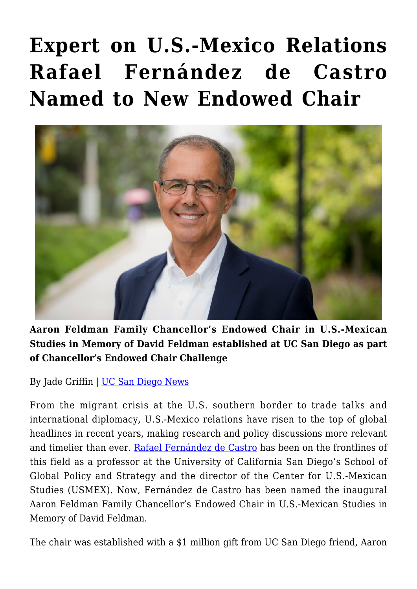## **[Expert on U.S.-Mexico Relations](https://gpsnews.ucsd.edu/expert-on-us-mexico-relations-rafael-fernandez-de-castro-named-to-new-endowed-chair/) [Rafael Fernández de Castro](https://gpsnews.ucsd.edu/expert-on-us-mexico-relations-rafael-fernandez-de-castro-named-to-new-endowed-chair/) [Named to New Endowed Chair](https://gpsnews.ucsd.edu/expert-on-us-mexico-relations-rafael-fernandez-de-castro-named-to-new-endowed-chair/)**



**Aaron Feldman Family Chancellor's Endowed Chair in U.S.-Mexican Studies in Memory of David Feldman established at UC San Diego as part of Chancellor's Endowed Chair Challenge**

By Jade Griffin | [UC San Diego News](https://ucsdnews.ucsd.edu/pressrelease/rafael-fernandez-de-castro-named-to-new-endowed-chair)

From the migrant crisis at the U.S. southern border to trade talks and international diplomacy, U.S.-Mexico relations have risen to the top of global headlines in recent years, making research and policy discussions more relevant and timelier than ever. [Rafael Fernández de Castro](https://gps.ucsd.edu/faculty-directory/rafael-fernandez-de-castro.html) has been on the frontlines of this field as a professor at the University of California San Diego's School of Global Policy and Strategy and the director of the Center for U.S.-Mexican Studies (USMEX). Now, Fernández de Castro has been named the inaugural Aaron Feldman Family Chancellor's Endowed Chair in U.S.-Mexican Studies in Memory of David Feldman.

The chair was established with a \$1 million gift from UC San Diego friend, Aaron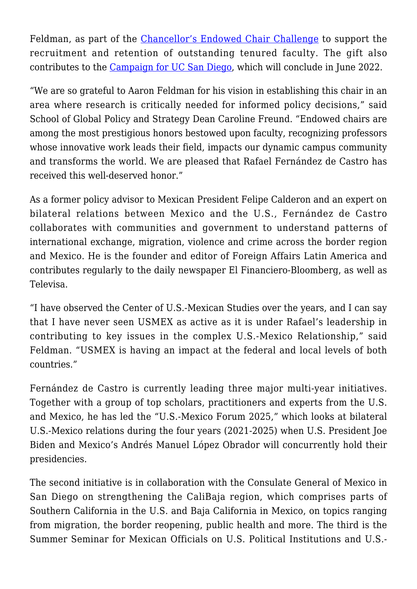Feldman, as part of the [Chancellor's Endowed Chair Challenge](https://ucsdnews.ucsd.edu/feature/chancellor-challenge) to support the recruitment and retention of outstanding tenured faculty. The gift also contributes to the [Campaign for UC San Diego,](http://campaign.ucsd.edu/) which will conclude in June 2022.

"We are so grateful to Aaron Feldman for his vision in establishing this chair in an area where research is critically needed for informed policy decisions," said School of Global Policy and Strategy Dean Caroline Freund. "Endowed chairs are among the most prestigious honors bestowed upon faculty, recognizing professors whose innovative work leads their field, impacts our dynamic campus community and transforms the world. We are pleased that Rafael Fernández de Castro has received this well-deserved honor."

As a former policy advisor to Mexican President Felipe Calderon and an expert on bilateral relations between Mexico and the U.S., Fernández de Castro collaborates with communities and government to understand patterns of international exchange, migration, violence and crime across the border region and Mexico. He is the founder and editor of Foreign Affairs Latin America and contributes regularly to the daily newspaper El Financiero-Bloomberg, as well as Televisa.

"I have observed the Center of U.S.-Mexican Studies over the years, and I can say that I have never seen USMEX as active as it is under Rafael's leadership in contributing to key issues in the complex U.S.-Mexico Relationship," said Feldman. "USMEX is having an impact at the federal and local levels of both countries."

Fernández de Castro is currently leading three major multi-year initiatives. Together with a group of top scholars, practitioners and experts from the U.S. and Mexico, he has led the "U.S.-Mexico Forum 2025," which looks at bilateral U.S.-Mexico relations during the four years (2021-2025) when U.S. President Joe Biden and Mexico's Andrés Manuel López Obrador will concurrently hold their presidencies.

The second initiative is in collaboration with the Consulate General of Mexico in San Diego on strengthening the CaliBaja region, which comprises parts of Southern California in the U.S. and Baja California in Mexico, on topics ranging from migration, the border reopening, public health and more. The third is the Summer Seminar for Mexican Officials on U.S. Political Institutions and U.S.-